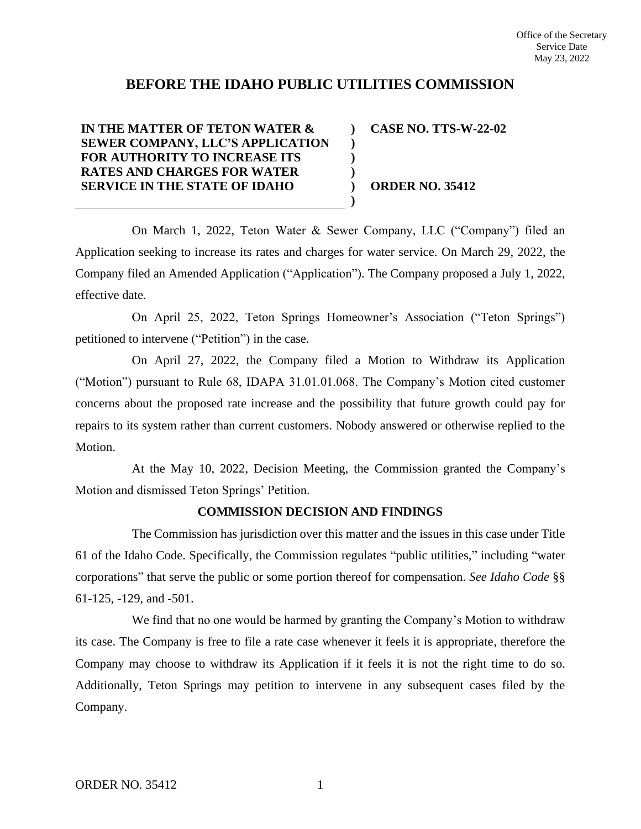## **BEFORE THE IDAHO PUBLIC UTILITIES COMMISSION**

**) ) ) ) ) )**

## **IN THE MATTER OF TETON WATER & SEWER COMPANY, LLC'S APPLICATION FOR AUTHORITY TO INCREASE ITS RATES AND CHARGES FOR WATER SERVICE IN THE STATE OF IDAHO**

**CASE NO. TTS-W-22-02**

**ORDER NO. 35412**

On March 1, 2022, Teton Water & Sewer Company, LLC ("Company") filed an Application seeking to increase its rates and charges for water service. On March 29, 2022, the Company filed an Amended Application ("Application"). The Company proposed a July 1, 2022, effective date.

On April 25, 2022, Teton Springs Homeowner's Association ("Teton Springs") petitioned to intervene ("Petition") in the case.

On April 27, 2022, the Company filed a Motion to Withdraw its Application ("Motion") pursuant to Rule 68, IDAPA 31.01.01.068. The Company's Motion cited customer concerns about the proposed rate increase and the possibility that future growth could pay for repairs to its system rather than current customers. Nobody answered or otherwise replied to the Motion.

At the May 10, 2022, Decision Meeting, the Commission granted the Company's Motion and dismissed Teton Springs' Petition.

## **COMMISSION DECISION AND FINDINGS**

The Commission has jurisdiction over this matter and the issues in this case under Title 61 of the Idaho Code. Specifically, the Commission regulates "public utilities," including "water corporations" that serve the public or some portion thereof for compensation. *See Idaho Code* §§ 61-125, -129, and -501.

We find that no one would be harmed by granting the Company's Motion to withdraw its case. The Company is free to file a rate case whenever it feels it is appropriate, therefore the Company may choose to withdraw its Application if it feels it is not the right time to do so. Additionally, Teton Springs may petition to intervene in any subsequent cases filed by the Company.